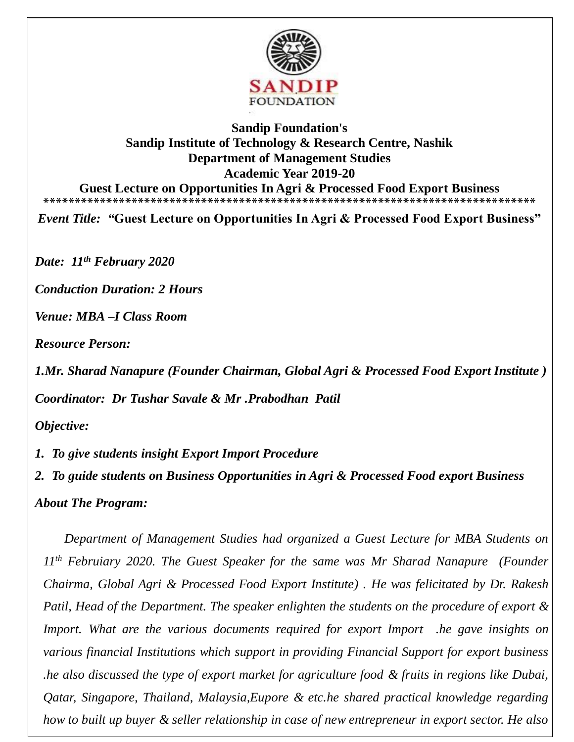

## **Sandip Foundation's Sandip Institute of Technology & Research Centre, Nashik Department of Management Studies Academic Year 2019-20 Guest Lecture on Opportunities In Agri & Processed Food Export Business**

**\*\*\*\*\*\*\*\*\*\*\*\*\*\*\*\*\*\*\*\*\*\*\*\*\*\*\*\*\*\*\*\*\*\*\*\*\*\*\*\*\*\*\*\*\*\*\*\*\*\*\*\*\*\*\*\*\*\*\*\*\*\*\*\*\*\*\*\*\*\*\*\*\*\*\*\*\*\*** 

*Event Title: "***Guest Lecture on Opportunities In Agri & Processed Food Export Business"** 

*Date: 11th February 2020*

*Conduction Duration: 2 Hours* 

*Venue: MBA –I Class Room* 

*Resource Person:* 

*1.Mr. Sharad Nanapure (Founder Chairman, Global Agri & Processed Food Export Institute )*

*Coordinator: Dr Tushar Savale & Mr .Prabodhan Patil* 

*Objective:*

*1. To give students insight Export Import Procedure*

*2. To guide students on Business Opportunities in Agri & Processed Food export Business* 

*About The Program:* 

*Department of Management Studies had organized a Guest Lecture for MBA Students on 11th Februiary 2020. The Guest Speaker for the same was Mr Sharad Nanapure (Founder Chairma, Global Agri & Processed Food Export Institute) . He was felicitated by Dr. Rakesh Patil, Head of the Department. The speaker enlighten the students on the procedure of export & Import. What are the various documents required for export Import .he gave insights on various financial Institutions which support in providing Financial Support for export business .he also discussed the type of export market for agriculture food & fruits in regions like Dubai, Qatar, Singapore, Thailand, Malaysia,Eupore & etc.he shared practical knowledge regarding how to built up buyer & seller relationship in case of new entrepreneur in export sector. He also*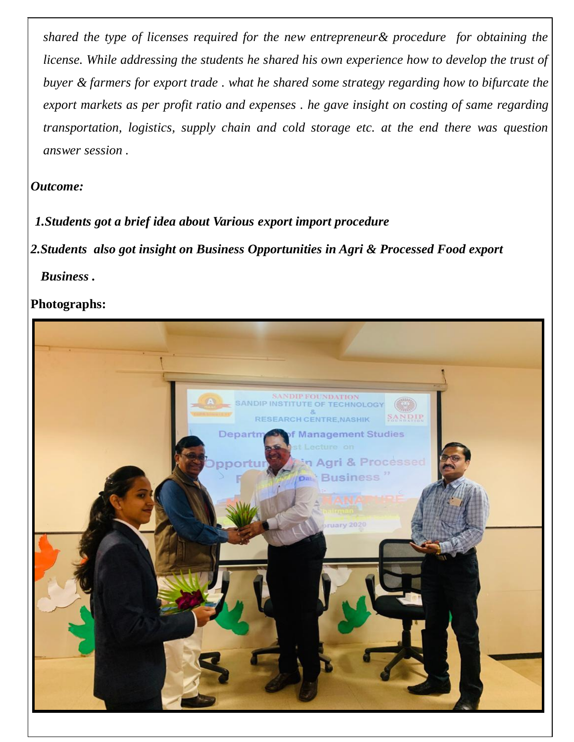*shared the type of licenses required for the new entrepreneur& procedure for obtaining the license. While addressing the students he shared his own experience how to develop the trust of buyer & farmers for export trade . what he shared some strategy regarding how to bifurcate the export markets as per profit ratio and expenses . he gave insight on costing of same regarding transportation, logistics, supply chain and cold storage etc. at the end there was question answer session .*

## *Outcome:*

*1.Students got a brief idea about Various export import procedure 2.Students also got insight on Business Opportunities in Agri & Processed Food export Business .*

## **Photographs:**

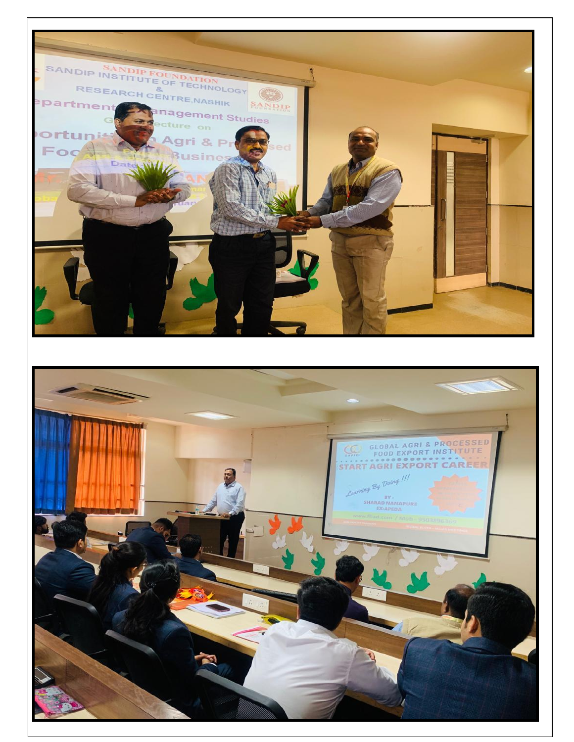